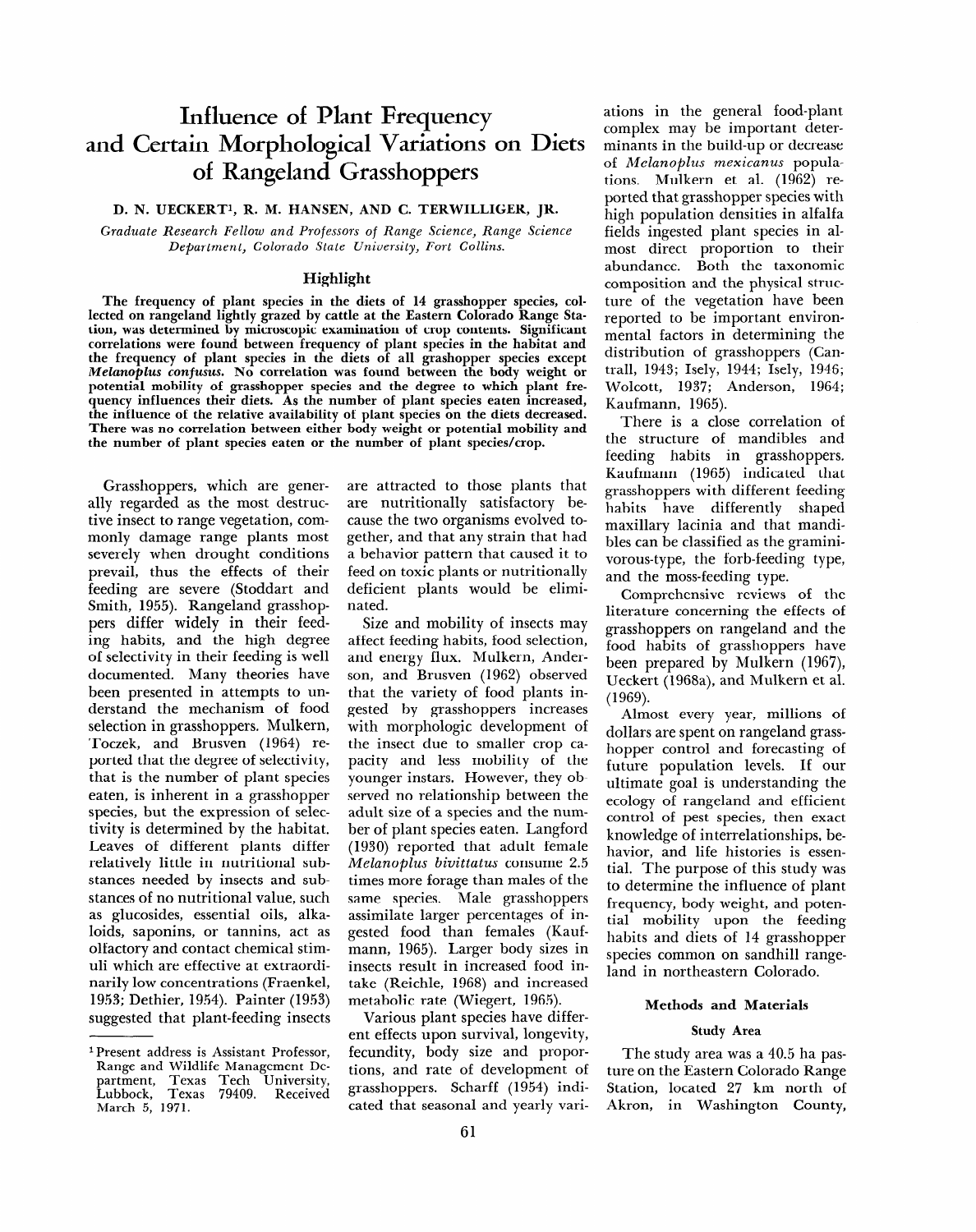# **Influence of Plant Frequency and Certain Morphological Variations on Diets of Rangeland Grasshoppers**

# **D. N. UECKERTI, R. M. HANSEN, AND C. TERWILLIGER, JR.**

*Graduate Research Fellow and Professors* **of** *Range Science, Range Science Department, Colorado State University, Fort Collins.* 

# **Highlight**

**The frequency of plant species in the diets of 14 grasshopper species, collected on rangeland lightly grazed by cattle at the Eastern Colorado Range Station, was determined by microscopic examination of crop contents. Significant correlations were found between frequency of plant species in the habitat and the frequency of plant species in the diets of all grashopper species except**  *Melanoplus confusus. No* **correlation was found between the body weight or potential mobility of grasshopper species and the degree to which plant frequency influences their diets. As the number of plant species eaten increased, the influence of the relative availability of plant species on the diets decreased. There was no correlation between either body weight or potential mobility and the number of plant species eaten or the number of plant species/crop.** 

Grasshoppers, which are generally regarded as the most destructive insect to range vegetation, commonly damage range plants most severely when drought conditions prevail, thus the effects of their feeding are severe (Stoddart. and Smith, 1955). Rangeland grasshoppers differ widely in their feeding habits, and the high degree of selectivity in their feeding is well documented. Many theories have been presented in attempts to understand the mechanism of food selection in grasshoppers. Mulkern, Toczek, and Brusven (1964) reported that the degree of selectivity, that is the number of plant species eaten, is inherent in a grasshopper species, but the expression of selectivity is determined by the habitat. Leaves of different plants differ relatively little in nutritional substances needed by insects and substances of no nutritional value, such as glucosides, essential oils, alkaloids, saponins, or tannins, act as olfactory and contact chemical stimuli which are effective at extraordinarily low concentrations (Fraenkel, 1953; Dethier, 1954). Painter (1953) suggested that plant-feeding insects are attracted to those plants that are nutritionally satisfactory because the two organisms evolved together, and that any strain that had a behavior pattern that caused it to feed on toxic plants or nutritionally deficient plants would be eliminated.

Size and mobility of insects may affect feeding habits, food selection, and energy flux. Mulkern, Anderson, and Brusven (1962) observed that the variety of food plants ingested by grasshoppers increases with morphologic development of the insect due to smaller crop capacity and less mobility of the younger instars. However, they observed no relationship between the adult size of a species and the number of plant species eaten. Langford (1930) reported that adult female *Melanoplus bivittatus* consume 2.5 times more forage than males of the same species. Male grasshoppers assimilate larger percentages of ingested food than females (Kaufmann, 1965). Larger body sizes in insects result in increased food intake (Reichle, 1968) and increased metabolic rate (Wiegert, 1965).

Various plant species have different effects upon survival, longevity, fecundity, body size and proportions, and rate of development of grasshoppers. Scharff ( 1954) indicated that seasonal and yearly vari**ations in** the general food-plant complex may be important determinants in the build-up or decrease of *Melanoplus mexicanus* populations. Mulkern et al. (1962) reported that grasshopper species with high population densities in alfalfa fields ingested plant species in almost direct proportion to their abundance. Both the taxonomic composition and the physical structure of the vegetation have been reported to be important environmental factors in determining the distribution of grasshoppers (Can trall, 1943; Isely, 1944; Isely, 1946; Wolcott, 1937; Anderson, 1964; Kaufmann, 1965).

There is a close correlation of the structure of mandibles and feeding habits in grasshoppers. Kaufmann (1965) indicated that grasshoppers with different feeding habits have differently shaped maxillary lacinia and that mandibles can be classified as the graminivorous-type, the forb-feeding type, and the moss-feeding type.

Comprehensive reviews of the literature concerning the effects of grasshoppers on rangeland and the food habits of grasshoppers have been prepared by Mulkern (1967), Ueckert (1968a), and Mulkern et al. (1969).

Almost every year, millions of dollars are spent on rangeland grasshopper control and forecasting of future population levels. If our ultimate goal is understanding the ecology of rangeland and efficient control of pest species, then exact knowledge of interrelationships, behavior, and life histories is essential. The purpose of this study was to determine the influence of plant frequency, body weight, and potential mobility upon the feeding habits and diets of 14 grasshopper species common on sandhill rangeland in northeastern Colorado.

# **Methods and Materials**

# **Study Area**

The study area was a 40.5 ha pasture on the Eastern Colorado Range Station, located 27 km north of Akron, in Washington County,

<sup>1</sup> **Present address is Assistant Professor, Range and Wildlife Management De**partment, Texas Tech Universit<sup>,</sup> Lubbock, Texas 79409. Receive **March 5, 1971.**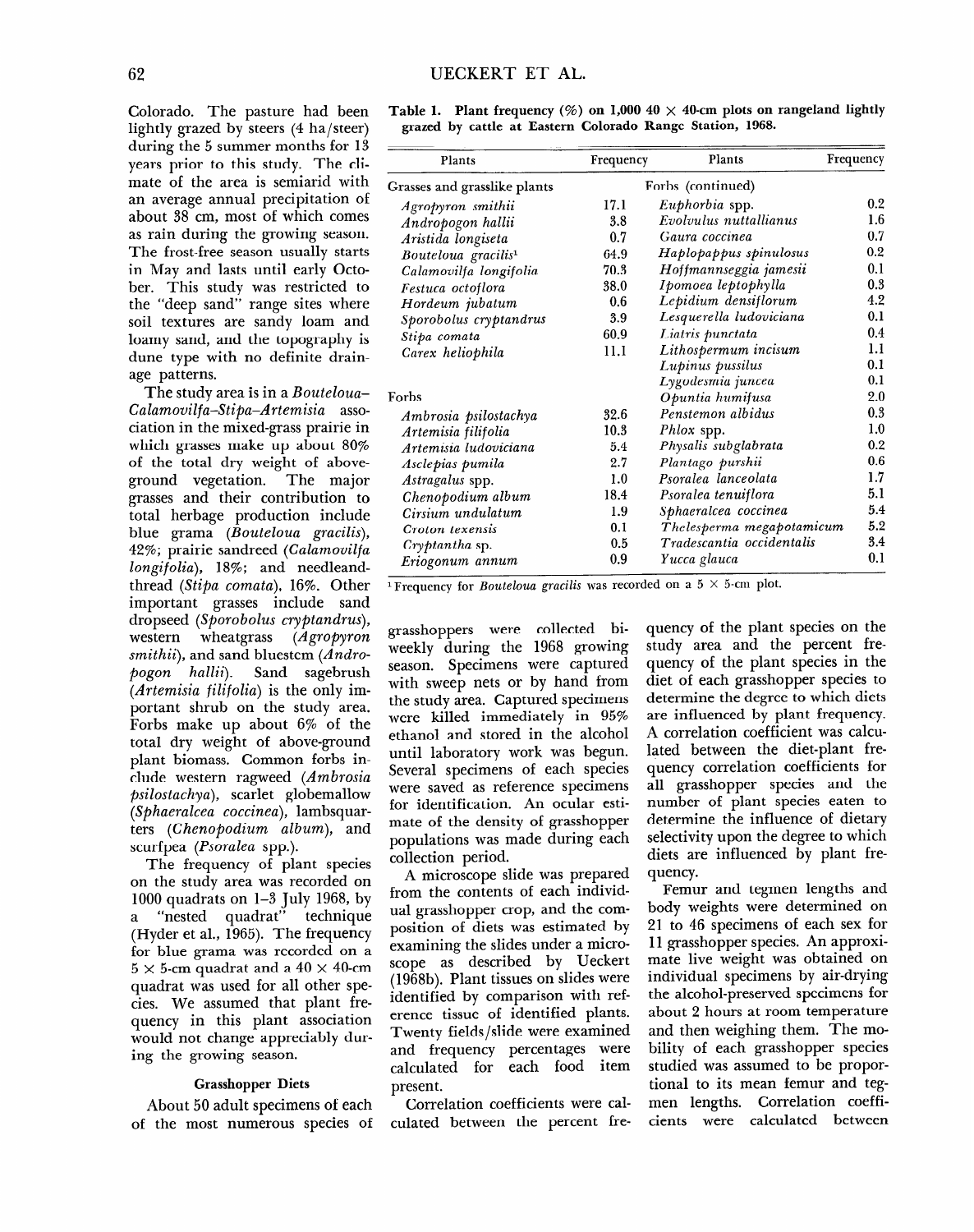Colorado. The pasture had been lightly grazed by steers (4 ha/steer) during the 5 summer months for 13 years prior to this study. The climate of the area is semiarid with an average annual precipitation of about 38 cm, most of which comes as rain during the growing season. The frost-free season usually starts in May and lasts until early October. This study was restricted to the "deep sand" range sites where soil textures are sandy loam and loamy sand, and the topography is dune type with no definite drainage patterns.

The study area is in a *Bouteloua-Calamouilfa-Stipa-Artemisia* association in the mixed-grass prairie in which grasses make up about 80% of the total dry weight of aboveground vegetation. The major grasses and their contribution to total herbage production include blue grama *(Bouteloua gracilis)*, *42%;* prairie sandreed *(Calamovilfa Zongifolia), 18%;* and needleandthread *(Stipa comata)*, 16%. Other important grasses include sand dropseed *(Sporobolus cryptandrus),*  western wheatgrass *(Agropyron smithii),* and sand bluestem *(Andropogon hallii).* Sand sagebrush *(Artemisia filifolia)* is the only important shrub on the study area. Forbs make up about 6% of the total dry weight of above-ground plant biomass. Common forbs include western ragweed *(Ambrosia clude* western ragweed (*Ambrosia psilostachya*), scarlet globemallow (Sphaeralcea coccinea), lambsquarters *(Chenopodium album)*, and scurfpea (Psoralea spp.).

The frequency of plant species on the study area was recorded on 1000 quadrats on 1-3 July 1968, by<br>a "nested quadrat" technique "nested quadrat" technique (Hyder et al., 1965). The frequency for blue grama was recorded on a  $5 \times$  5-cm quadrat and a 40  $\times$  40-cm quadrat was used for all other species. We assumed that plant frequency in this plant association would not change appreciably during the growing season.

#### Grasshopper Diets **Grasshopper Diets**

About 50 adult specimens of each<br>of the most numerous species of

| Table 1. Plant frequency (%) on 1,000 40 $\times$ 40-cm plots on rangeland lightly |  |
|------------------------------------------------------------------------------------|--|
| grazed by cattle at Eastern Colorado Range Station, 1968.                          |  |

| Plants                          | Frequency | Plants                    | Frequency |  |
|---------------------------------|-----------|---------------------------|-----------|--|
| Grasses and grasslike plants    |           | Forbs (continued)         |           |  |
| Agropyron smithii               | 17.1      | Euphorbia spp.            | 0.2       |  |
| Andropogon hallii               | 3.8       | Evolvulus nuttallianus    | 1.6       |  |
| Aristida longiseta              | 0.7       | Gaura coccinea            | 0.7       |  |
| Bouteloua gracilis <sup>1</sup> | 64.9      | Haplopappus spinulosus    | 0.2       |  |
| Calamovilfa longifolia          | 70.3      | Hoffmannseggia jamesii    | 0.1       |  |
| Festuca octoflora               | 38.0      | Ipomoea leptophylla       | 0.3       |  |
| Hordeum jubatum                 | 0.6       | Lepidium densiflorum      | 4.2       |  |
| Sporobolus cryptandrus          | 3.9       | Lesquerella ludoviciana   | 0.1       |  |
| Stipa comata                    | 60.9      | Liatris punctata          | 0.4       |  |
| Carex heliophila                | 11.1      | Lithospermum incisum      | 1.1       |  |
|                                 |           | Lupinus pussilus          | 0.1       |  |
|                                 |           | Lygodesmia juncea         | 0.1       |  |
| Forbs                           |           | Opuntia humifusa          | 2.0       |  |
| Ambrosia psilostachya           | 32.6      | Penstemon albidus         | 0.3       |  |
| Artemisia filifolia             | 10.3      | Phlox spp.                | 1.0       |  |
| Artemisia ludoviciana           | 5.4       | Physalis subglabrata      | 0.2       |  |
| Asclepias pumila                | 2.7       | Plantago purshii          | 0.6       |  |
| Astragalus spp.                 | 1.0       | Psoralea lanceolata       | 1.7       |  |
| Chenopodium album               | 18.4      | Psoralea tenuiflora       | 5.1       |  |
| Cirsium undulatum               | 1.9       | Sphaeralcea coccinea      | 5.4       |  |
| Croton texensis                 | 0.1       | Thelesperma megapotamicum | 5.2       |  |
| Cryptantha sp.                  | 0.5       | Tradescantia occidentalis | 3.4       |  |
| Eriogonum annum                 | 0.9       | Yucca glauca              | 0.1       |  |

<sup>1</sup> Frequency for *Bouteloua gracilis* was recorded on a  $5 \times 5$ -cm plot.

grasshoppers were collected biweekly during the 1968 growing season. Specimens were captured with sweep nets or by hand from the study area. Captured specimens were killed immediately in 95% ethanol and stored in the alcohol until laboratory work was begun. Several specimens of each species were saved as reference specimens for identification. An ocular estimate of the density of grasshopper  $p_1$  and  $p_2$  and  $p_3$  and  $p_4$  during each populations was a

A microscope slide was prepared from the contents of each individwhich grade contents of caen marked ual grasshopper crop, and the composition of diets was estimated by examining the slides under a microscope as described by Ueckert (1968b). Plant tissues on slides were identified by comparison with reference tissue of identified plants. Twenty fields/slide were examined and frequency percentages were calculated for each food item<br>present. correlation coefficients were cal-

Correlation coefficients were cal-

quency of the plant species on the study area and the percent frequency of the plant species in the diet of each grasshopper species to determine the degree to which diets are influenced by plant frequency. A correlation coefficient was calculated between the diet-plant frequency correlation coefficients for all grasshopper species and the number of plant species eaten to determine the influence of dietary selectivity upon the degree to which diets are influenced by plant fre- $\frac{1}{2}$ Femur and tegmen lengths and

body weights were determined on bouy weights were accemment on  $11 \text{ }$   $1$ material material was obtained to mate live weight was obtained on individual specimens by air-drying the alcohol-preserved specimens for about 2 hours at room temperature and then weighing them. The mobility of each grasshopper species studied was assumed to be proportional to its mean femur and tegmen lengths. Correlation coeffi-<br>cients were calculated between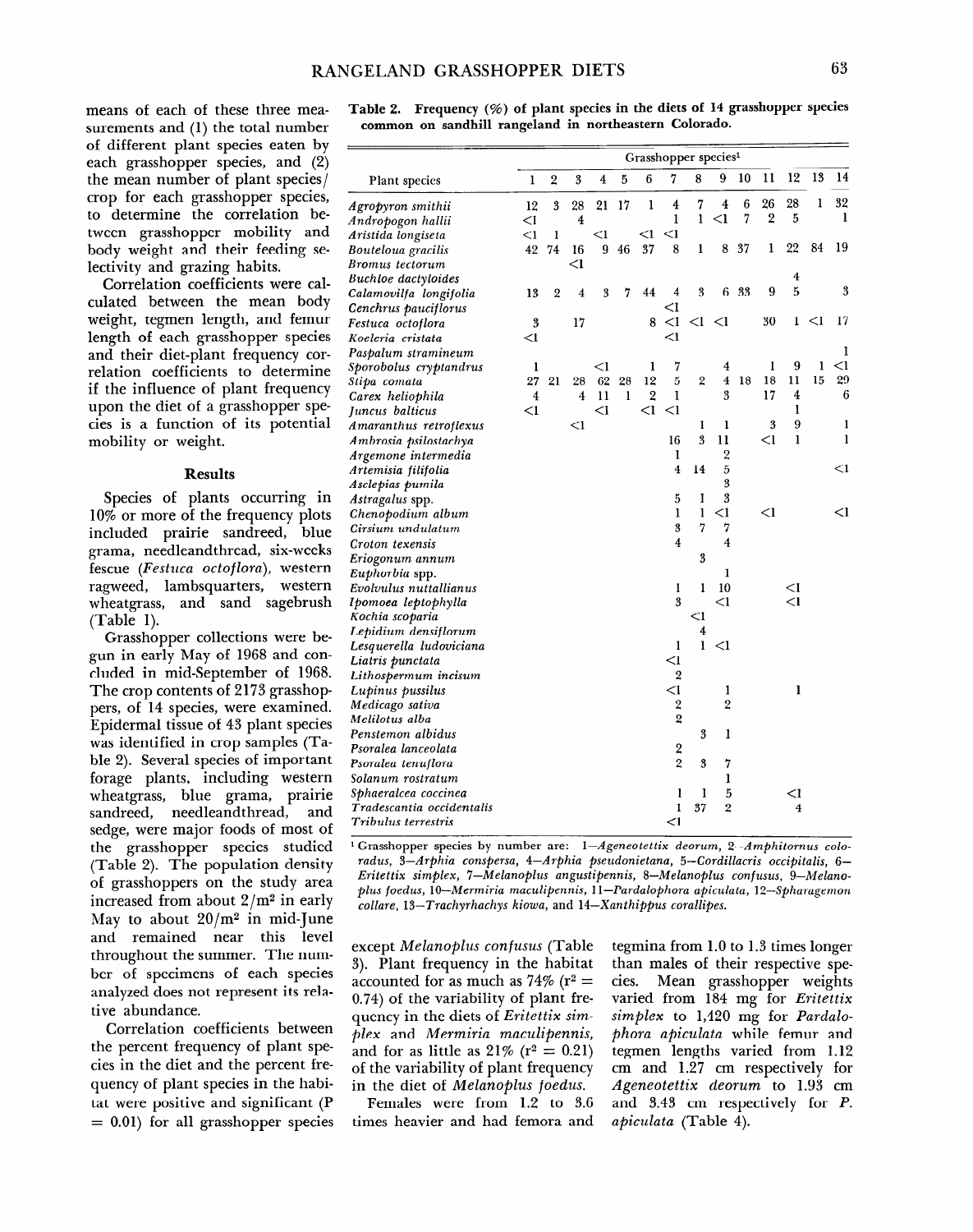# **RANGELAND GRASSHOPPER DIETS**

means of each of these three measurements and (1) the total number of different plant species eaten by each grasshopper species, and (2) the mean number of plant species/ crop for each grasshopper species, to determine the correlation between grasshopper mobility and body weight and their feeding selectivity and grazing habits.

Correlation coefficients were calculated between the mean body weight, tegmen length, and femur length of each grasshopper species and their diet-plant frequency correlation coefficients to determine if the influence of plant frequency upon the diet of a grasshopper species is a function of its potential mobility or weight.

#### **Results**

Species of plants occurring in 10% or more of the frequency plots included prairie sandreed, blue grama, needleandthread, six-weeks fescue (Festuca octoflora), western ragweed, lambsquarters, western wheatgrass, and sand sagebrush (Table 1).

Grasshopper collections were begun in early May of 1968 and concluded in mid-September of 1968. The crop contents of 2173 grasshoppers, of 14 species, were examined. Epidermal tissue of 43 plant species was identified in crop samples (Tawas identified in crop samples (Table 2). Several species of important forage plants, including western wheatgrass, blue grama, prairie<br>sandreed, needleandthread, and sanuiccu, neculeanulineau, anu the gradied major foods of most of the grasshopper species studied (Table 2). The population density of grasshoppers on the study area increased from about  $2/m^2$  in early May to about  $20/m^2$  in mid-June and remained near this level throughout the summer. The number of specimens of each species analyzed does not represent its relative abundance.

Correlation coefficients between the percent frequency of plant species in the diet and the percent frequency of plant species in the habi-= 0.01) for all grasshopper **species**  **Table 2. Frequency (96) of plant species in the diets of 14 grasshopper species common on sandhill rangeland in northeastern Colorado.** 

|                                          | Grasshopper species <sup>1</sup> |                |                         |       |    |                |                         |                |                         |    |                |                |        |              |
|------------------------------------------|----------------------------------|----------------|-------------------------|-------|----|----------------|-------------------------|----------------|-------------------------|----|----------------|----------------|--------|--------------|
| Plant species                            | ı                                | 2              | 3                       | 4     | 5  | 6              | 7                       | 8              | 9                       | 10 | 11             | 12             | 13     | 14           |
| Agropyron smithii                        | 12                               | 3              | 28                      | 21    | 17 | 1              | $\overline{4}$          | 7              | $\overline{4}$          | 6  | 26             | 28             | 1      | 32           |
| Andropogon hallii                        | $<$ l                            |                | $\overline{\mathbf{4}}$ |       |    |                | 1                       | $\mathbf{1}$   | $\leq$ 1                | 7  | $\overline{2}$ | 5              |        | 1            |
| Aristida longiseta                       | $<$ l                            | 1              |                         | $<$ l |    | $\leq$ 1       | $<$ l                   |                |                         |    |                |                |        |              |
| Bouteloua gracilis                       | 42                               | 74             | 16                      | 9     | 46 | 37             | 8                       | ı              | 8                       | 37 | ı              | 22             | 84     | 19           |
| Bromus tectorum                          |                                  |                | $<$ 1                   |       |    |                |                         |                |                         |    |                |                |        |              |
| <b>Buchloe</b> dactyloides               |                                  |                |                         |       |    |                |                         |                |                         |    |                | $\overline{4}$ |        |              |
| Calamovilfa longifolia                   | 13                               | $\overline{2}$ | $\overline{\bf 4}$      | 3     | 7  | 44             | 4                       | 3              | 6                       | 33 | 9              | $\overline{5}$ |        | 3            |
| Cenchrus pauciflorus                     |                                  |                |                         |       |    |                | <1                      |                |                         |    |                |                |        |              |
| Festuca octoflora                        | 3                                |                | 17                      |       |    | 8              | $\leq$ I                | $\leq$ 1       | $\leq$ l                |    | 30             | 1              | $\leq$ | 17           |
| Koeleria cristata                        | $<$ l                            |                |                         |       |    |                | $<$ l                   |                |                         |    |                |                |        |              |
| Paspalum stramineum                      |                                  |                |                         |       |    |                |                         |                |                         |    |                |                |        | 1            |
| Sporobolus cryptandrus                   | ı                                |                |                         | $<$ l |    | 1              | 7                       |                | 4                       |    | 1              | 9              | ı      | $<$ l        |
| Stipa comata                             | 27                               | 21             | 28                      | 62    | 28 | 12             | 5                       | $\overline{2}$ | $\overline{\mathbf{4}}$ | 18 | 18             | 11             | 15     | 29           |
| Carex heliophila                         | $\overline{\mathbf{4}}$          |                | 4                       | 11    | 1  | $\overline{2}$ | I                       |                | 3                       |    | 17             | 4              |        | 6            |
| Juncus balticus                          | $\leq$ 1                         |                |                         | $<$ l |    | $\leq$ 1       | $<$ l                   |                |                         |    |                | $\mathbf{I}$   |        |              |
| Amaranthus retroflexus                   |                                  |                | $<$ l                   |       |    |                |                         | 1              | 1                       |    | 3              | 9              |        | 1            |
| Ambrosia psilostachya                    |                                  |                |                         |       |    |                | 16                      | 3              | 11                      |    | $\leq$ 1       | $\mathbf{1}$   |        | $\mathbf{1}$ |
| Argemone intermedia                      |                                  |                |                         |       |    |                | ı                       |                | $\overline{2}$          |    |                |                |        |              |
| Artemisia filifolia                      |                                  |                |                         |       |    |                | 4                       | 14             | 5                       |    |                |                |        | $<$ 1        |
| Asclepias pumila                         |                                  |                |                         |       |    |                |                         |                | 3                       |    |                |                |        |              |
| Astragalus spp.                          |                                  |                |                         |       |    |                | 5                       | 1              | 3                       |    |                |                |        |              |
| Chenopodium album                        |                                  |                |                         |       |    |                | ı                       | ı              | $<$ 1                   |    | $\leq$ 1       |                |        | $\leq$ l     |
| Cirsium undulatum                        |                                  |                |                         |       |    |                | 3                       | 7              | 7                       |    |                |                |        |              |
| Croton texensis                          |                                  |                |                         |       |    |                | 4                       |                | $\overline{4}$          |    |                |                |        |              |
| Eriogonum annum                          |                                  |                |                         |       |    |                |                         | 3              |                         |    |                |                |        |              |
| Euphorbia spp.                           |                                  |                |                         |       |    |                |                         |                | ı                       |    |                |                |        |              |
| Evolvulus nuttallianus                   |                                  |                |                         |       |    |                | 1                       | 1              | 10                      |    |                | $\leq$ 1       |        |              |
| Ipomoea leptophylla                      |                                  |                |                         |       |    |                | 3                       |                | $<$ l                   |    |                | $\leq$ l       |        |              |
| Kochia scoparia                          |                                  |                |                         |       |    |                |                         | $<$ 1<br>4     |                         |    |                |                |        |              |
| Lepidium densiflorum                     |                                  |                |                         |       |    |                | 1                       | 1              | $<$ 1                   |    |                |                |        |              |
| Lesquerella ludoviciana                  |                                  |                |                         |       |    |                | $\leq$ l                |                |                         |    |                |                |        |              |
| Liatris punctata<br>Lithospermum incisum |                                  |                |                         |       |    |                | $\overline{2}$          |                |                         |    |                |                |        |              |
| Lupinus pussilus                         |                                  |                |                         |       |    |                | $<$ l                   |                | ı                       |    |                | ı              |        |              |
| Medicago sativa                          |                                  |                |                         |       |    |                | $\overline{\mathbf{c}}$ |                | $\overline{2}$          |    |                |                |        |              |
| Melilotus alba                           |                                  |                |                         |       |    |                | $\overline{\mathbf{2}}$ |                |                         |    |                |                |        |              |
| Penstemon albidus                        |                                  |                |                         |       |    |                |                         | 3              | 1                       |    |                |                |        |              |
| Psoralea lanceolata                      |                                  |                |                         |       |    |                | $\overline{\mathbf{c}}$ |                |                         |    |                |                |        |              |
| Psoralea tenuflora                       |                                  |                |                         |       |    |                | $\overline{2}$          | 3              | 7                       |    |                |                |        |              |
| Solanum rostratum                        |                                  |                |                         |       |    |                |                         |                | $\mathbf{I}$            |    |                |                |        |              |
| Sphaeralcea coccinea                     |                                  |                |                         |       |    |                | ı                       | 1              | 5                       |    |                | $\leq$ 1       |        |              |
| Tradescantia occidentalis                |                                  |                |                         |       |    |                | I                       | 37             | $\overline{2}$          |    |                | 4              |        |              |
| Tribulus terrestris                      |                                  |                |                         |       |    |                | $<$ l                   |                |                         |    |                |                |        |              |
|                                          |                                  |                |                         |       |    |                |                         |                |                         |    |                |                |        |              |

**1 Grasshopper species by number are:** *I-Ageneotettix deorum, 2-Amphitornus colo-*Grasshopper species by number are: 1-Ageneotetux aeorum, 2-Amphitornus coto radus, 3-Arphia conspersa, 4-Arphia pseudonietana, 5-Cordillacris occipitalis, 6-*Fritettix simplex, 7-Melanoplus angustipennis, 8-Melanoplus confusus, 9-Melanocollare, 13-Trachyrhachys kiowa,* **and** *14-Xanthippus corallipes.* 

except *Melanoplus confusus* (Table except *inetanopius confusus* (1 april 3). Plant frequency in the habitat accounted for as much as 74% ( $r^2 =$ 0.74) of the variability of plant frequency in the diets of Eritettix simplex and *Mermiria maculipennis*, and for as little as  $21\%$  (r<sup>2</sup> = 0.21)  $\delta$  of the variability of plant frequency. in the diet of *Melanoplus foedus*.

Females were from  $1.2$  to  $3.6$ times heavier and had femora and

 $\frac{1}{2}$  the 1.0 to 1.3 times longer longer longer longer longer longer longer longer longer longer longer longer longer longer longer longer longer longer longer longer longer longer longer longer longer longer longer l teginina from 1.0 to 1.5 times fonger than males of their respective species. Mean grasshopper weights Mean grasshopper weights varied from 184 mg for *Eritettix simplex* to 1,420 mg for *Pardalo*phora apiculata while femur and tegmen lengths varied from 1.12 cm and 1.27 cm respectively for *Ageneotettix deorum* to 1.93 cm and 3.43 cm respectively for P. *apiculata* (Table 4).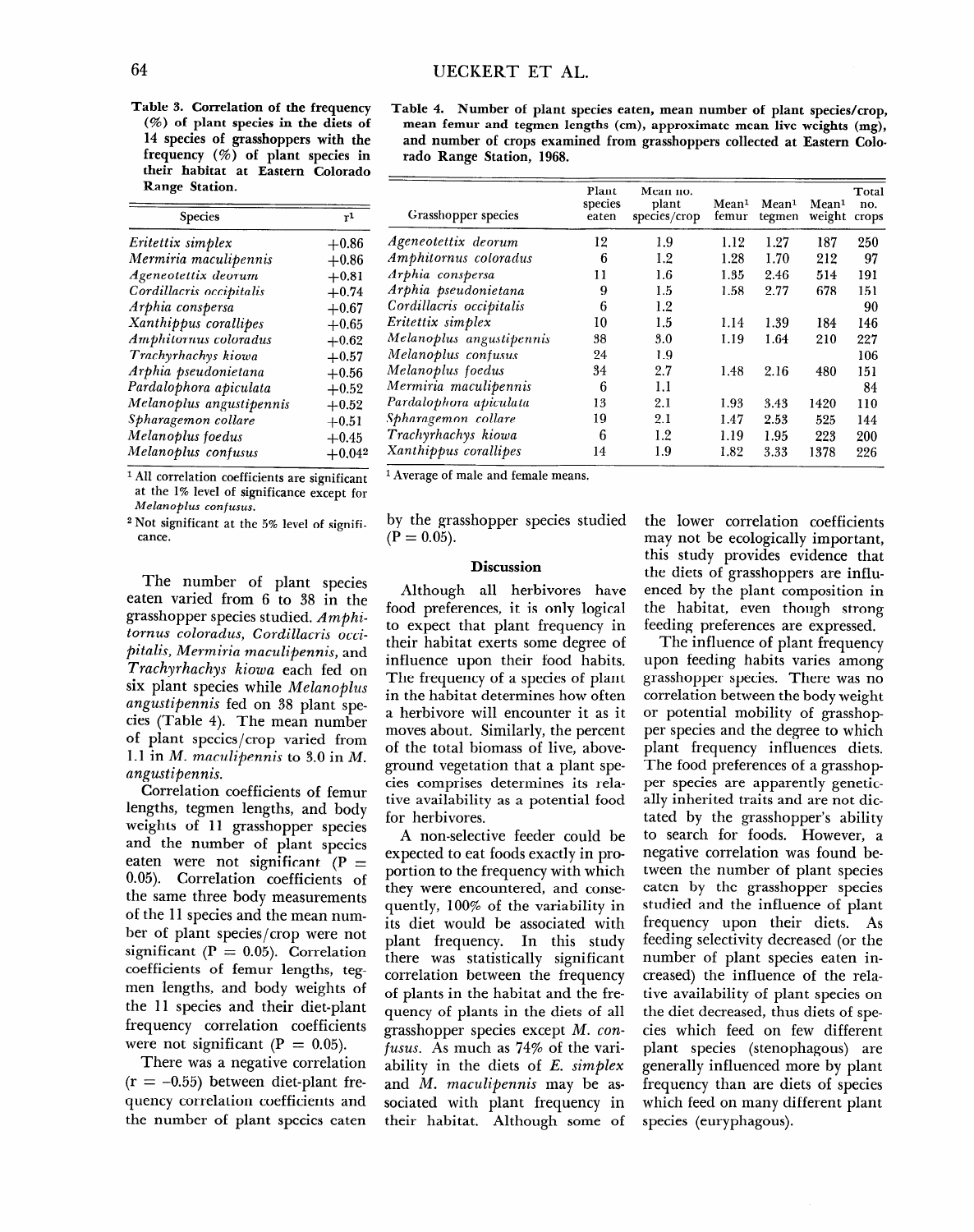**Table 3. Correlation of the frequency (%) of plant species in the diets of 14 species of grasshoppers with the frequency (%) of plant species in their habitat at Eastern Colorado Range Station.** 

| Species                  | r1        |
|--------------------------|-----------|
| Eritettix simplex        | $+0.86$   |
| Mermiria maculipennis    | $+0.86$   |
| Ageneotettix deorum      | $+0.81$   |
| Cordillacris occipitalis | $+0.74$   |
| Arphia conspersa         | $+0.67$   |
| Xanthippus corallipes    | $+0.65$   |
| Amphitornus coloradus    | $+0.62$   |
| Trachyrhachys kiowa      | $+0.57$   |
| Arphia pseudonietana     | $+0.56$   |
| Pardalophora apiculata   | $+0.52$   |
| Melanoplus angustipennis | $+0.52$   |
| Spharagemon collare      | $+0.51\,$ |
| Melanoplus foedus        | $+0.45$   |
| Melanoplus confusus      | $+0.042$  |

*1* All correlation coefficients are significant at the 1% level of significance except for *Melanoplus confusus.* 

*2* Not significant at the 5% level of significance.

The number of plant species eaten varied from 6 to 38 in the grasshopper species studied. *Amphitornus coloradus, Cordillacris occipitalis, Mermiria maculipennis,* and *Trachyrhachys Kiowa* each fed on six plant species while *Melanoplus angustipennis* fed on 38 plant species (Table 4). The mean number of plant species/crop varied from 1.1 in *M. maculipennis* to *3.0* in *M. angustipennis.* 

Correlation coefficients of femur lengths, tegmen lengths, and body rengens, regiment rengens, and body wegnes of it grasshopper species and the number of plant species eaten were not significant (P  $=$ 0.05). Correlation coefficients of<br>the same three body measurements of the 11 species and the measurements ber of the pecies and the mean number of plant species/crop were not significant ( $P = 0.05$ ). Correlation coefficients of femur lengths, tegmen lengths, and body weights of the 11 species and their diet-plant frequency correlation coefficients were not significant ( $P = 0.05$ ).

There was a negative correlation  $(r = -0.55)$  between diet-plant frequency correlation coefficients and<br>the number of plant species caten

| Table 4. Number of plant species eaten, mean number of plant species/crop, |  |
|----------------------------------------------------------------------------|--|
| mean femur and tegmen lengths (cm), approximate mean live weights (mg),    |  |
| and number of crops examined from grasshoppers collected at Eastern Colo-  |  |
| rado Range Station, 1968.                                                  |  |

| Grasshopper species      | Plant<br>species<br>eaten | Mean no.<br>plant<br>species/crop | Mean <sup>1</sup><br>femur | Mean <sup>1</sup><br>tegmen | Mean <sup>1</sup><br>weight | Total<br>no.<br>crops |
|--------------------------|---------------------------|-----------------------------------|----------------------------|-----------------------------|-----------------------------|-----------------------|
| Ageneotettix deorum      | 12                        | 1.9                               | 1.12                       | 1.27                        | 187                         | 250                   |
| Amphitornus coloradus    | 6                         | 1.2                               | 1.28                       | 1.70                        | 212                         | 97                    |
| Arphia conspersa         | 11                        | $1.6\,$                           | 1.35                       | 2.46                        | 514                         | 191                   |
| Arphia pseudonietana     | 9                         | 1.5                               | 1.58                       | 2.77                        | 678                         | 151                   |
| Cordillacris occipitalis | 6                         | 1.2                               |                            |                             |                             | 90                    |
| Eritettix simplex        | 10                        | 1.5                               | 1.14                       | 1.39                        | 184                         | 146                   |
| Melanoplus angustipennis | 38                        | 3.0                               | 1.19                       | 1.64                        | 210                         | 227                   |
| Melanoplus confusus      | 24                        | 1.9                               |                            |                             |                             | 106                   |
| Melanoplus foedus        | 34                        | 2.7                               | 1.48                       | 2.16                        | 480                         | 151                   |
| Mermiria maculipennis    | 6                         | 1.1                               |                            |                             |                             | 84                    |
| Pardalophora apiculata   | 13                        | 2.1                               | 1.93                       | 3.43                        | 1420                        | 110                   |
| Spharagemon collare      | 19                        | 2.1                               | 1.47                       | 2.53                        | 525                         | 144                   |
| Trachyrhachys kiowa      | 6                         | 1.2                               | 1.19                       | 1.95                        | 223                         | 200                   |
| Xanthippus corallipes    | 14                        | 1.9                               | 1.82                       | 3.33                        | 1378                        | 226                   |

l Average of male and female means.

by the grasshopper species studied  $(P = 0.05)$ .

### **Discussion**

**Although all herbivores have**  food preferences, it is only logical to expect that plant frequency in their habitat exerts some degree of influence upon their food habits. The frequency of a species of plant in the habitat determines how often a herbivore will encounter it as it moves about. Similarly, the percent of the total biomass of live, aboveground vegetation that a plant species comprises determines its relative availability as a potential food for herbivores.

A non-selective feeder could be expected to eat foods exactly in proportion to the frequency weight which portion to the frequency with which they were encountered, and consequently,  $100\%$  of the variability in its diet would be associated with plant frequency. In this study there was statistically significant correlation between the frequency of plants in the habitat and the frequency of plants in the diets of all grasshopper species except M. con*fusus.* As much as 74% of the variability in the diets of E. simplex and M. maculipennis may be associated with plant frequency in<br>their habitat. Although some of the lower correlation coefficients may not be ecologically important, this study provides evidence that the diets of grasshoppers are influenced by the plant composition in the habitat, even though strong feeding preferences are expressed.

The influence of plant frequency upon feeding habits varies among grasshopper species. There was no correlation between the body weight or potential mobility of grasshopper potential modifier of grasshopper species and the degree to which plant frequency influences diets. The food preferences of a grasshopper species are apparently genetically inherited traits and are not dictated by the grasshopper's ability  $\frac{1}{1}$  for  $\frac{1}{2}$   $\frac{1}{2}$   $\frac{1}{2}$   $\frac{1}{2}$   $\frac{1}{2}$   $\frac{1}{2}$   $\frac{1}{2}$   $\frac{1}{2}$   $\frac{1}{2}$   $\frac{1}{2}$   $\frac{1}{2}$   $\frac{1}{2}$   $\frac{1}{2}$   $\frac{1}{2}$   $\frac{1}{2}$   $\frac{1}{2}$   $\frac{1}{2}$   $\frac{1}{2}$   $\frac{1}{2}$   $\frac{1}{2}$   $\frac{1}{2$  $\frac{1}{2}$  scarch for found. However, a negative correlation was found between the number of plant species eaten by the grasshopper species studied and the influence of plant frequency upon their diets. As feeding selectivity decreased (or the number of plant species eaten increased) the influence of the relative availability of plant species on the diet decreased, thus diets of species which feed on few different plant species (stenophagous) are generally influenced more by plant frequency than are diets of species which feed on many different plant<br>species (euryphagous).